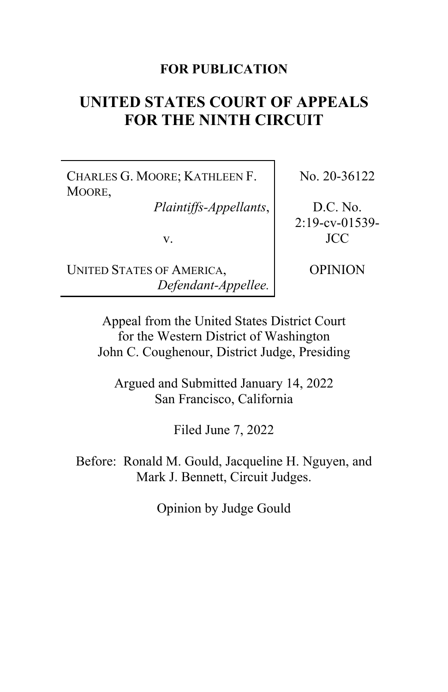## **FOR PUBLICATION**

# **UNITED STATES COURT OF APPEALS FOR THE NINTH CIRCUIT**

CHARLES G. MOORE; KATHLEEN F. MOORE,

*Plaintiffs-Appellants*,

v.

No. 20-36122

D.C. No. 2:19-cv-01539- JCC

UNITED STATES OF AMERICA, *Defendant-Appellee.* OPINION

Appeal from the United States District Court for the Western District of Washington John C. Coughenour, District Judge, Presiding

Argued and Submitted January 14, 2022 San Francisco, California

Filed June 7, 2022

Before: Ronald M. Gould, Jacqueline H. Nguyen, and Mark J. Bennett, Circuit Judges.

Opinion by Judge Gould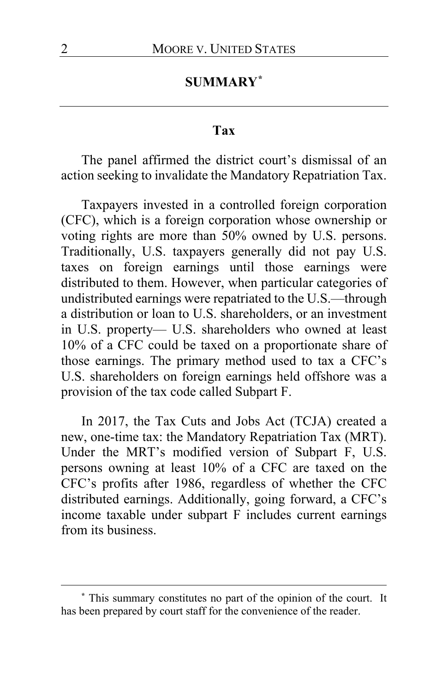# **SUMMARY[\\*](#page-1-0)**

#### **Tax**

The panel affirmed the district court's dismissal of an action seeking to invalidate the Mandatory Repatriation Tax.

Taxpayers invested in a controlled foreign corporation (CFC), which is a foreign corporation whose ownership or voting rights are more than 50% owned by U.S. persons. Traditionally, U.S. taxpayers generally did not pay U.S. taxes on foreign earnings until those earnings were distributed to them. However, when particular categories of undistributed earnings were repatriated to the U.S.—through a distribution or loan to U.S. shareholders, or an investment in U.S. property— U.S. shareholders who owned at least 10% of a CFC could be taxed on a proportionate share of those earnings. The primary method used to tax a CFC's U.S. shareholders on foreign earnings held offshore was a provision of the tax code called Subpart F.

In 2017, the Tax Cuts and Jobs Act (TCJA) created a new, one-time tax: the Mandatory Repatriation Tax (MRT). Under the MRT's modified version of Subpart F, U.S. persons owning at least 10% of a CFC are taxed on the CFC's profits after 1986, regardless of whether the CFC distributed earnings. Additionally, going forward, a CFC's income taxable under subpart F includes current earnings from its business.

<span id="page-1-0"></span>**<sup>\*</sup>** This summary constitutes no part of the opinion of the court. It has been prepared by court staff for the convenience of the reader.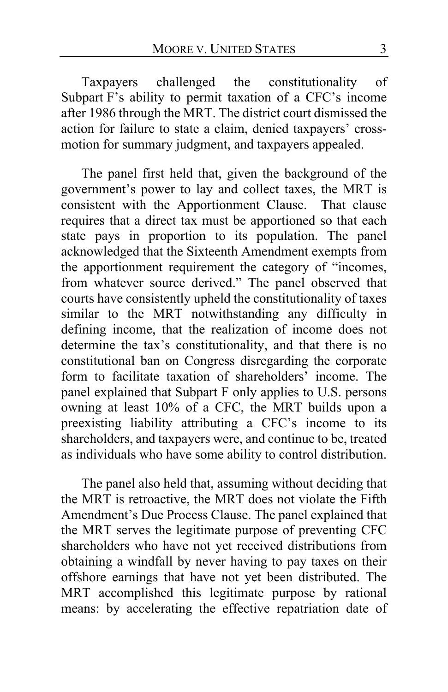Taxpayers challenged the constitutionality of Subpart F's ability to permit taxation of a CFC's income after 1986 through the MRT. The district court dismissed the action for failure to state a claim, denied taxpayers' crossmotion for summary judgment, and taxpayers appealed.

The panel first held that, given the background of the government's power to lay and collect taxes, the MRT is consistent with the Apportionment Clause. That clause requires that a direct tax must be apportioned so that each state pays in proportion to its population. The panel acknowledged that the Sixteenth Amendment exempts from the apportionment requirement the category of "incomes, from whatever source derived." The panel observed that courts have consistently upheld the constitutionality of taxes similar to the MRT notwithstanding any difficulty in defining income, that the realization of income does not determine the tax's constitutionality, and that there is no constitutional ban on Congress disregarding the corporate form to facilitate taxation of shareholders' income. The panel explained that Subpart F only applies to U.S. persons owning at least 10% of a CFC, the MRT builds upon a preexisting liability attributing a CFC's income to its shareholders, and taxpayers were, and continue to be, treated as individuals who have some ability to control distribution.

The panel also held that, assuming without deciding that the MRT is retroactive, the MRT does not violate the Fifth Amendment's Due Process Clause. The panel explained that the MRT serves the legitimate purpose of preventing CFC shareholders who have not yet received distributions from obtaining a windfall by never having to pay taxes on their offshore earnings that have not yet been distributed. The MRT accomplished this legitimate purpose by rational means: by accelerating the effective repatriation date of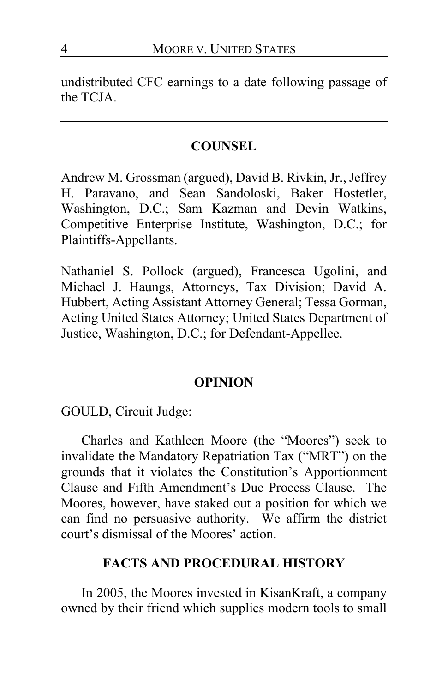undistributed CFC earnings to a date following passage of the TCJA.

## **COUNSEL**

Andrew M. Grossman (argued), David B. Rivkin, Jr., Jeffrey H. Paravano, and Sean Sandoloski, Baker Hostetler, Washington, D.C.; Sam Kazman and Devin Watkins, Competitive Enterprise Institute, Washington, D.C.; for Plaintiffs-Appellants.

Nathaniel S. Pollock (argued), Francesca Ugolini, and Michael J. Haungs, Attorneys, Tax Division; David A. Hubbert, Acting Assistant Attorney General; Tessa Gorman, Acting United States Attorney; United States Department of Justice, Washington, D.C.; for Defendant-Appellee.

## **OPINION**

GOULD, Circuit Judge:

Charles and Kathleen Moore (the "Moores") seek to invalidate the Mandatory Repatriation Tax ("MRT") on the grounds that it violates the Constitution's Apportionment Clause and Fifth Amendment's Due Process Clause. The Moores, however, have staked out a position for which we can find no persuasive authority. We affirm the district court's dismissal of the Moores' action.

## **FACTS AND PROCEDURAL HISTORY**

In 2005, the Moores invested in KisanKraft, a company owned by their friend which supplies modern tools to small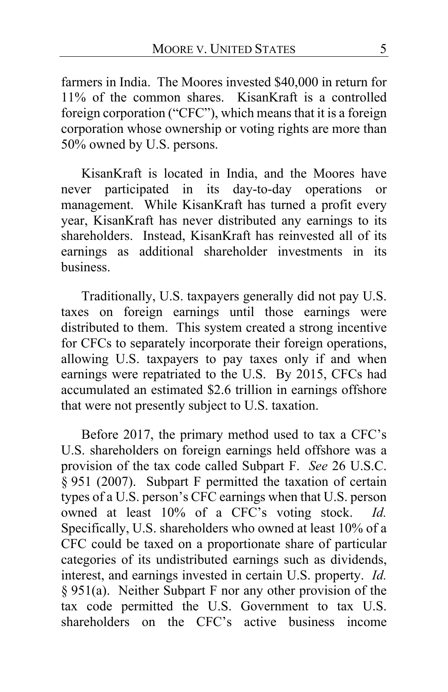farmers in India. The Moores invested \$40,000 in return for 11% of the common shares. KisanKraft is a controlled foreign corporation ("CFC"), which means that it is a foreign corporation whose ownership or voting rights are more than 50% owned by U.S. persons.

KisanKraft is located in India, and the Moores have<br>er participated in its day-to-day operations or never participated in its day-to-day operations or management. While KisanKraft has turned a profit every year, KisanKraft has never distributed any earnings to its shareholders. Instead, KisanKraft has reinvested all of its earnings as additional shareholder investments in its business.

Traditionally, U.S. taxpayers generally did not pay U.S. taxes on foreign earnings until those earnings were distributed to them. This system created a strong incentive for CFCs to separately incorporate their foreign operations, allowing U.S. taxpayers to pay taxes only if and when earnings were repatriated to the U.S. By 2015, CFCs had accumulated an estimated \$2.6 trillion in earnings offshore that were not presently subject to U.S. taxation.

Before 2017, the primary method used to tax a CFC's U.S. shareholders on foreign earnings held offshore was a provision of the tax code called Subpart F. *See* 26 U.S.C. § 951 (2007). Subpart F permitted the taxation of certain types of a U.S. person's CFC earnings when that U.S. person owned at least 10% of a CFC's voting stock. *Id.* Specifically, U.S. shareholders who owned at least 10% of a CFC could be taxed on a proportionate share of particular categories of its undistributed earnings such as dividends, interest, and earnings invested in certain U.S. property. *Id.* § 951(a). Neither Subpart F nor any other provision of the tax code permitted the U.S. Government to tax U.S. shareholders on the CFC's active business income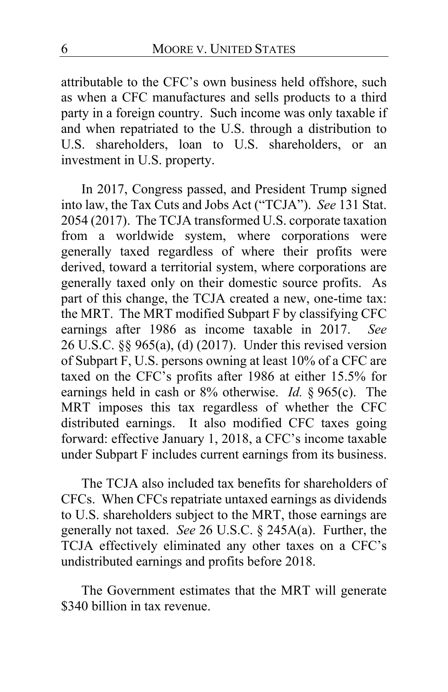attributable to the CFC's own business held offshore, such as when a CFC manufactures and sells products to a third party in a foreign country. Such income was only taxable if and when repatriated to the U.S. through a distribution to U.S. shareholders, loan to U.S. shareholders, or an investment in U.S. property.

In 2017, Congress passed, and President Trump signed into law, the Tax Cuts and Jobs Act ("TCJA"). *See* 131 Stat. 2054 (2017). The TCJA transformed U.S. corporate taxation from a worldwide system, where corporations were generally taxed regardless of where their profits were derived, toward a territorial system, where corporations are generally taxed only on their domestic source profits. As part of this change, the TCJA created a new, one-time tax: the MRT. The MRT modified Subpart F by classifying CFC earnings after 1986 as income taxable in 2017. *See* 26 U.S.C. §§ 965(a), (d) (2017). Under this revised version of Subpart F, U.S. persons owning at least 10% of a CFC are taxed on the CFC's profits after 1986 at either 15.5% for earnings held in cash or 8% otherwise. *Id.* § 965(c). The MRT imposes this tax regardless of whether the CFC distributed earnings. It also modified CFC taxes going forward: effective January 1, 2018, a CFC's income taxable under Subpart F includes current earnings from its business.

The TCJA also included tax benefits for shareholders of CFCs. When CFCs repatriate untaxed earnings as dividends to U.S. shareholders subject to the MRT, those earnings are generally not taxed. *See* 26 U.S.C. § 245A(a). Further, the TCJA effectively eliminated any other taxes on a CFC's undistributed earnings and profits before 2018.

The Government estimates that the MRT will generate \$340 billion in tax revenue.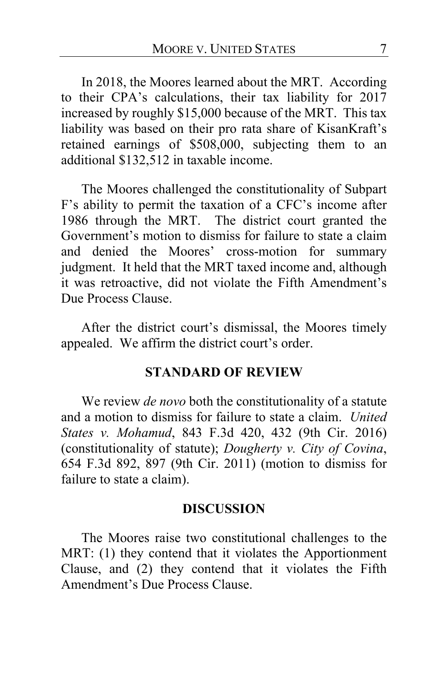In 2018, the Moores learned about the MRT. According to their CPA's calculations, their tax liability for 2017 increased by roughly \$15,000 because of the MRT. This tax liability was based on their pro rata share of KisanKraft's retained earnings of \$508,000, subjecting them to an additional \$132,512 in taxable income.

The Moores challenged the constitutionality of Subpart F's ability to permit the taxation of a CFC's income after 1986 through the MRT. The district court granted the Government's motion to dismiss for failure to state a claim and denied the Moores' cross-motion for summary judgment. It held that the MRT taxed income and, although it was retroactive, did not violate the Fifth Amendment's Due Process Clause.

After the district court's dismissal, the Moores timely appealed. We affirm the district court's order.

#### **STANDARD OF REVIEW**

We review *de novo* both the constitutionality of a statute and a motion to dismiss for failure to state a claim. *United States v. Mohamud*, 843 F.3d 420, 432 (9th Cir. 2016) (constitutionality of statute); *Dougherty v. City of Covina*, 654 F.3d 892, 897 (9th Cir. 2011) (motion to dismiss for failure to state a claim).

#### **DISCUSSION**

The Moores raise two constitutional challenges to the MRT: (1) they contend that it violates the Apportionment Clause, and (2) they contend that it violates the Fifth Amendment's Due Process Clause.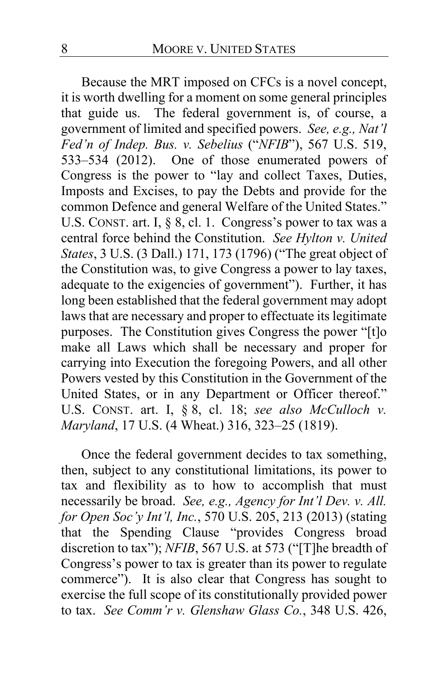Because the MRT imposed on CFCs is a novel concept, it is worth dwelling for a moment on some general principles that guide us. The federal government is, of course, a government of limited and specified powers. *See, e.g., Nat'l Fed'n of Indep. Bus. v. Sebelius* ("*NFIB*"), 567 U.S. 519, 533–534 (2012). One of those enumerated powers of Congress is the power to "lay and collect Taxes, Duties, Imposts and Excises, to pay the Debts and provide for the common Defence and general Welfare of the United States." U.S. CONST. art. I,  $\S$  8, cl. 1. Congress's power to tax was a central force behind the Constitution. *See Hylton v. United States*, 3 U.S. (3 Dall.) 171, 173 (1796) ("The great object of the Constitution was, to give Congress a power to lay taxes, adequate to the exigencies of government"). Further, it has long been established that the federal government may adopt laws that are necessary and proper to effectuate its legitimate purposes. The Constitution gives Congress the power "[t]o make all Laws which shall be necessary and proper for carrying into Execution the foregoing Powers, and all other Powers vested by this Constitution in the Government of the United States, or in any Department or Officer thereof." U.S. CONST. art. I, § 8, cl. 18; *see also McCulloch v. Maryland*, 17 U.S. (4 Wheat.) 316, 323–25 (1819).

Once the federal government decides to tax something, then, subject to any constitutional limitations, its power to tax and flexibility as to how to accomplish that must necessarily be broad. *See, e.g., Agency for Int'l Dev. v. All. for Open Soc'y Int'l, Inc.*, 570 U.S. 205, 213 (2013) (stating that the Spending Clause "provides Congress broad discretion to tax"); *NFIB*, 567 U.S. at 573 ("[T]he breadth of Congress's power to tax is greater than its power to regulate commerce"). It is also clear that Congress has sought to exercise the full scope of its constitutionally provided power to tax. *See Comm'r v. Glenshaw Glass Co.*, 348 U.S. 426,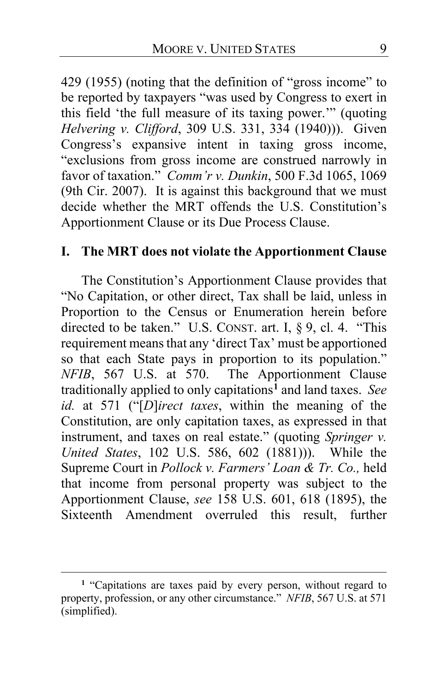429 (1955) (noting that the definition of "gross income" to be reported by taxpayers "was used by Congress to exert in this field 'the full measure of its taxing power.'" (quoting *Helvering v. Clifford*, 309 U.S. 331, 334 (1940))). Given Congress's expansive intent in taxing gross income, "exclusions from gross income are construed narrowly in favor of taxation." *Comm'r v. Dunkin*, 500 F.3d 1065, 1069 (9th Cir. 2007). It is against this background that we must decide whether the MRT offends the U.S. Constitution's Apportionment Clause or its Due Process Clause.

## **I. The MRT does not violate the Apportionment Clause**

The Constitution's Apportionment Clause provides that "No Capitation, or other direct, Tax shall be laid, unless in Proportion to the Census or Enumeration herein before directed to be taken." U.S. CONST. art. I, § 9, cl. 4. "This requirement means that any 'direct Tax' must be apportioned so that each State pays in proportion to its population." *NFIB*, 567 U.S. at 570. The Apportionment Clause traditionally applied to only capitations**[1](#page-8-0)** and land taxes. *See id.* at 571 ("[*D*]*irect taxes*, within the meaning of the Constitution, are only capitation taxes, as expressed in that instrument, and taxes on real estate." (quoting *Springer v. United States*, 102 U.S. 586, 602 (1881))). While the Supreme Court in *Pollock v. Farmers' Loan & Tr. Co.,* held that income from personal property was subject to the Apportionment Clause, *see* 158 U.S. 601, 618 (1895), the Sixteenth Amendment overruled this result, further

<span id="page-8-0"></span>**<sup>1</sup>** "Capitations are taxes paid by every person, without regard to property, profession, or any other circumstance." *NFIB*, 567 U.S. at 571 (simplified).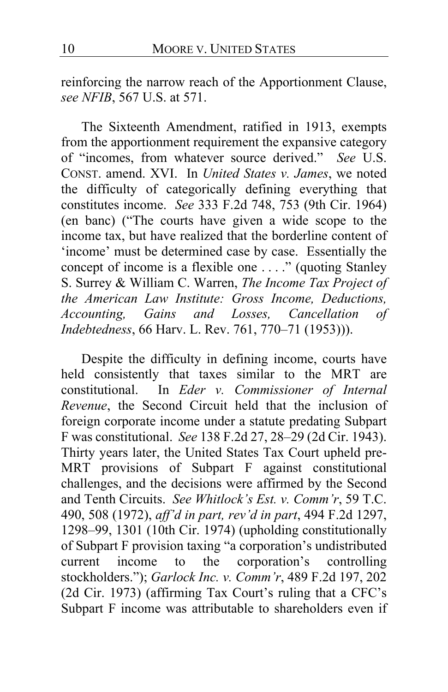reinforcing the narrow reach of the Apportionment Clause, *see NFIB*, 567 U.S. at 571.

The Sixteenth Amendment, ratified in 1913, exempts from the apportionment requirement the expansive category of "incomes, from whatever source derived." *See* U.S. CONST. amend. XVI. In *United States v. James*, we noted the difficulty of categorically defining everything that constitutes income. *See* 333 F.2d 748, 753 (9th Cir. 1964) (en banc) ("The courts have given a wide scope to the income tax, but have realized that the borderline content of 'income' must be determined case by case. Essentially the concept of income is a flexible one . . . ." (quoting Stanley S. Surrey & William C. Warren, *The Income Tax Project of the American Law Institute: Gross Income, Deductions, Accounting, Gains and Losses, Cancellation of Indebtedness*, 66 Harv. L. Rev. 761, 770–71 (1953))).

Despite the difficulty in defining income, courts have held consistently that taxes similar to the MRT are constitutional. In *Eder v. Commissioner of Internal Revenue*, the Second Circuit held that the inclusion of foreign corporate income under a statute predating Subpart F was constitutional. *See* 138 F.2d 27, 28–29 (2d Cir. 1943). Thirty years later, the United States Tax Court upheld pre-MRT provisions of Subpart F against constitutional challenges, and the decisions were affirmed by the Second and Tenth Circuits. *See Whitlock's Est. v. Comm'r*, 59 T.C. 490, 508 (1972), *aff'd in part, rev'd in part*, 494 F.2d 1297, 1298–99, 1301 (10th Cir. 1974) (upholding constitutionally of Subpart F provision taxing "a corporation's undistributed to the corporation's controlling stockholders."); *Garlock Inc. v. Comm'r*, 489 F.2d 197, 202 (2d Cir. 1973) (affirming Tax Court's ruling that a CFC's Subpart F income was attributable to shareholders even if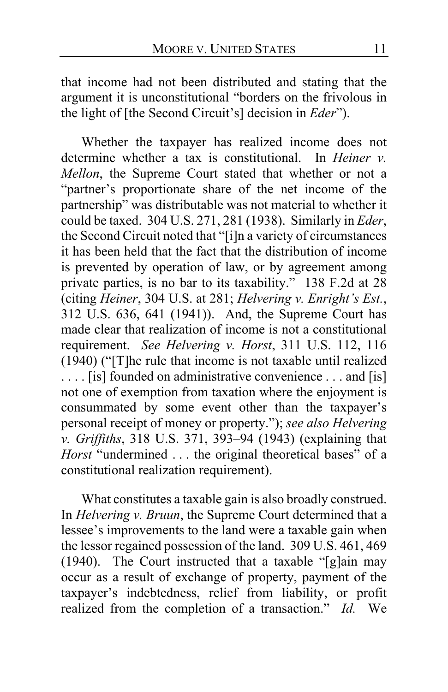that income had not been distributed and stating that the argument it is unconstitutional "borders on the frivolous in the light of [the Second Circuit's] decision in *Eder*").

Whether the taxpayer has realized income does not determine whether a tax is constitutional. In *Heiner v. Mellon*, the Supreme Court stated that whether or not a "partner's proportionate share of the net income of the partnership" was distributable was not material to whether it could be taxed. 304 U.S. 271, 281 (1938). Similarly in *Eder*, the Second Circuit noted that "[i]n a variety of circumstances it has been held that the fact that the distribution of income is prevented by operation of law, or by agreement among private parties, is no bar to its taxability." 138 F.2d at 28 (citing *Heiner*, 304 U.S. at 281; *Helvering v. Enright's Est.*, 312 U.S. 636, 641 (1941)). And, the Supreme Court has made clear that realization of income is not a constitutional requirement. *See Helvering v. Horst*, 311 U.S. 112, 116 (1940) ("[T]he rule that income is not taxable until realized . . . . [is] founded on administrative convenience . . . and [is] not one of exemption from taxation where the enjoyment is consummated by some event other than the taxpayer's personal receipt of money or property."); *see also Helvering v. Griffiths*, 318 U.S. 371, 393–94 (1943) (explaining that *Horst* "undermined . . . the original theoretical bases" of a constitutional realization requirement).

What constitutes a taxable gain is also broadly construed. In *Helvering v. Bruun*, the Supreme Court determined that a lessee's improvements to the land were a taxable gain when the lessor regained possession of the land. 309 U.S. 461, 469 (1940). The Court instructed that a taxable "[g]ain may occur as a result of exchange of property, payment of the taxpayer's indebtedness, relief from liability, or profit realized from the completion of a transaction." *Id.* We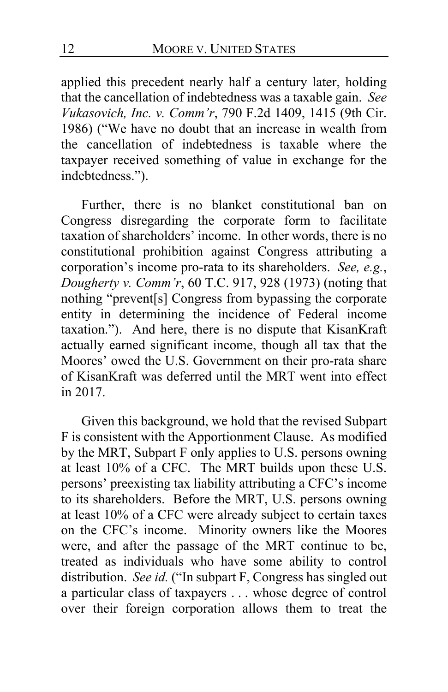applied this precedent nearly half a century later, holding that the cancellation of indebtedness was a taxable gain. *See Vukasovich, Inc. v. Comm'r*, 790 F.2d 1409, 1415 (9th Cir. 1986) ("We have no doubt that an increase in wealth from the cancellation of indebtedness is taxable where the taxpayer received something of value in exchange for the indebtedness.").

Further, there is no blanket constitutional ban on Congress disregarding the corporate form to facilitate taxation of shareholders' income. In other words, there is no constitutional prohibition against Congress attributing a corporation's income pro-rata to its shareholders. *See, e.g.*, *Dougherty v. Comm'r*, 60 T.C. 917, 928 (1973) (noting that nothing "prevent[s] Congress from bypassing the corporate entity in determining the incidence of Federal income taxation."). And here, there is no dispute that KisanKraft actually earned significant income, though all tax that the Moores' owed the U.S. Government on their pro-rata share of KisanKraft was deferred until the MRT went into effect in 2017.

Given this background, we hold that the revised Subpart F is consistent with the Apportionment Clause. As modified by the MRT, Subpart F only applies to U.S. persons owning at least 10% of a CFC. The MRT builds upon these U.S. persons' preexisting tax liability attributing a CFC's income to its shareholders. Before the MRT, U.S. persons owning at least 10% of a CFC were already subject to certain taxes on the CFC's income. Minority owners like the Moores were, and after the passage of the MRT continue to be, treated as individuals who have some ability to control distribution. *See id.* ("In subpart F, Congress has singled out a particular class of taxpayers . . . whose degree of control over their foreign corporation allows them to treat the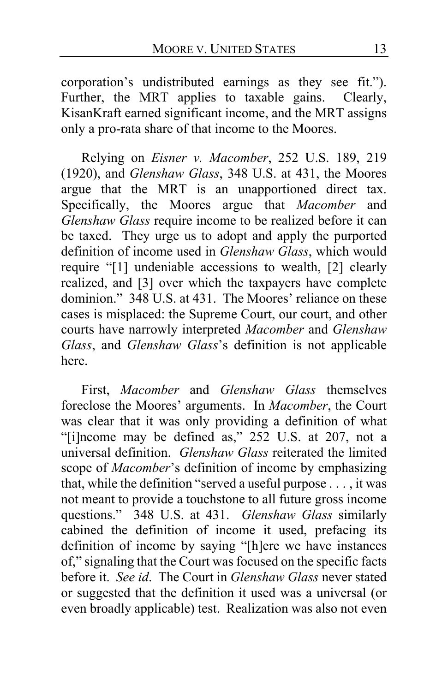corporation's undistributed earnings as they see fit."). Further, the MRT applies to taxable gains. Clearly, KisanKraft earned significant income, and the MRT assigns only a pro-rata share of that income to the Moores.

Relying on *Eisner v. Macomber*, 252 U.S. 189, 219 (1920), and *Glenshaw Glass*, 348 U.S. at 431, the Moores argue that the MRT is an unapportioned direct tax. Specifically, the Moores argue that *Macomber* and *Glenshaw Glass* require income to be realized before it can be taxed. They urge us to adopt and apply the purported definition of income used in *Glenshaw Glass*, which would require "[1] undeniable accessions to wealth, [2] clearly realized, and [3] over which the taxpayers have complete dominion." 348 U.S. at 431. The Moores' reliance on these cases is misplaced: the Supreme Court, our court, and other courts have narrowly interpreted *Macomber* and *Glenshaw Glass*, and *Glenshaw Glass*'s definition is not applicable here.

First, *Macomber* and *Glenshaw Glass* themselves foreclose the Moores' arguments. In *Macomber*, the Court was clear that it was only providing a definition of what "[i]ncome may be defined as," 252 U.S. at 207, not a universal definition. *Glenshaw Glass* reiterated the limited scope of *Macomber*'s definition of income by emphasizing that, while the definition "served a useful purpose . . . , it was not meant to provide a touchstone to all future gross income questions." 348 U.S. at 431. *Glenshaw Glass* similarly cabined the definition of income it used, prefacing its definition of income by saying "[h]ere we have instances of," signaling that the Court wasfocused on the specific facts before it. *See id*. The Court in *Glenshaw Glass* never stated or suggested that the definition it used was a universal (or even broadly applicable) test. Realization was also not even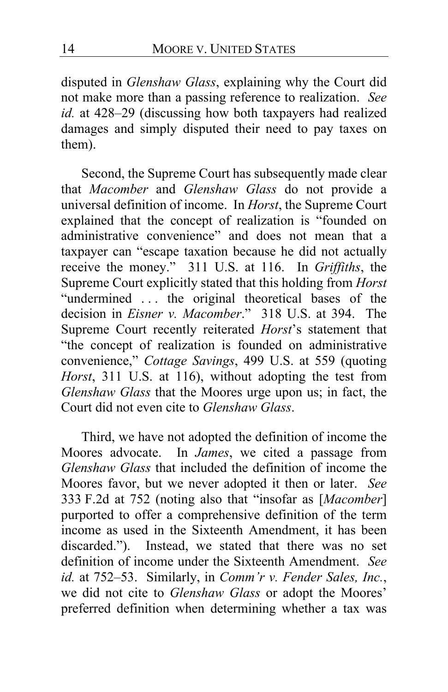disputed in *Glenshaw Glass*, explaining why the Court did not make more than a passing reference to realization. *See id.* at 428–29 (discussing how both taxpayers had realized damages and simply disputed their need to pay taxes on them).

Second, the Supreme Court has subsequently made clear that *Macomber* and *Glenshaw Glass* do not provide a universal definition of income. In *Horst*, the Supreme Court explained that the concept of realization is "founded on administrative convenience" and does not mean that a taxpayer can "escape taxation because he did not actually receive the money." 311 U.S. at 116. In *Griffiths*, the Supreme Court explicitly stated that this holding from *Horst*  "undermined ... the original theoretical bases of the decision in *Eisner v. Macomber*." 318 U.S. at 394. The Supreme Court recently reiterated *Horst*'s statement that "the concept of realization is founded on administrative convenience," *Cottage Savings*, 499 U.S. at 559 (quoting *Horst*, 311 U.S. at 116), without adopting the test from *Glenshaw Glass* that the Moores urge upon us; in fact, the Court did not even cite to *Glenshaw Glass*.

Third, we have not adopted the definition of income the Moores advocate. In *James*, we cited a passage from *Glenshaw Glass* that included the definition of income the Moores favor, but we never adopted it then or later. *See* 333 F.2d at 752 (noting also that "insofar as [*Macomber*] purported to offer a comprehensive definition of the term income as used in the Sixteenth Amendment, it has been discarded."). Instead, we stated that there was no set definition of income under the Sixteenth Amendment. *See id.* at 752–53. Similarly, in *Comm'r v. Fender Sales, Inc.*, we did not cite to *Glenshaw Glass* or adopt the Moores' preferred definition when determining whether a tax was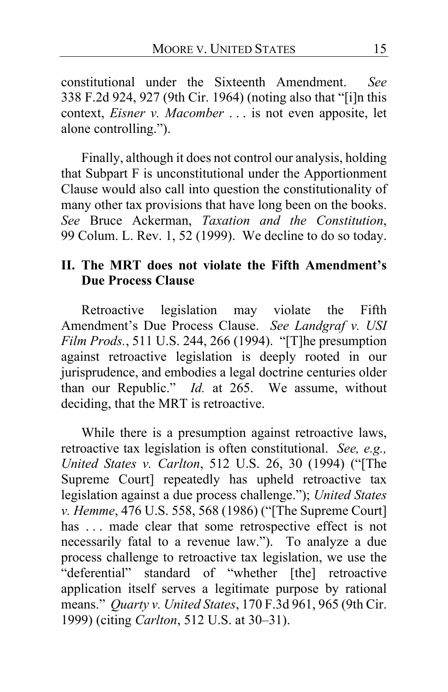constitutional under the Sixteenth Amendment. *See* 338 F.2d 924, 927 (9th Cir. 1964) (noting also that "[i]n this context, *Eisner v. Macomber* . . . is not even apposite, let alone controlling.").

Finally, although it does not control our analysis, holding that Subpart F is unconstitutional under the Apportionment Clause would also call into question the constitutionality of many other tax provisions that have long been on the books. *See* Bruce Ackerman, *Taxation and the Constitution*, 99 Colum. L. Rev. 1, 52 (1999). We decline to do so today.

# **II. The MRT does not violate the Fifth Amendment's Due Process Clause**

Retroactive legislation may violate the Fifth Amendment's Due Process Clause. *See Landgraf v. USI Film Prods.*, 511 U.S. 244, 266 (1994). "[T]he presumption against retroactive legislation is deeply rooted in our jurisprudence, and embodies a legal doctrine centuries older than our Republic." *Id.* at 265. We assume, without deciding, that the MRT is retroactive.

While there is a presumption against retroactive laws, retroactive tax legislation is often constitutional. *See, e.g., United States v. Carlton*, 512 U.S. 26, 30 (1994) ("[The Supreme Court] repeatedly has upheld retroactive tax legislation against a due process challenge."); *United States v. Hemme*, 476 U.S. 558, 568 (1986) ("[The Supreme Court] has ... made clear that some retrospective effect is not necessarily fatal to a revenue law."). To analyze a due process challenge to retroactive tax legislation, we use the "deferential" standard of "whether [the] retroactive application itself serves a legitimate purpose by rational means." *Quarty v. United States*, 170 F.3d 961, 965 (9th Cir. 1999) (citing *Carlton*, 512 U.S. at 30–31).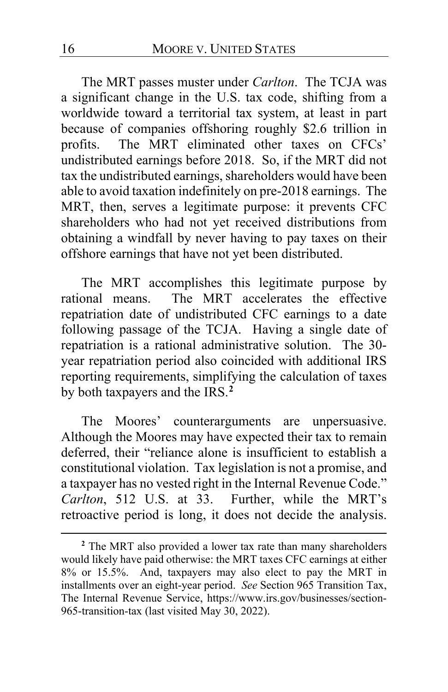The MRT passes muster under *Carlton*. The TCJA was a significant change in the U.S. tax code, shifting from a worldwide toward a territorial tax system, at least in part because of companies offshoring roughly \$2.6 trillion in profits. The MRT eliminated other taxes on CFCs' undistributed earnings before 2018. So, if the MRT did not tax the undistributed earnings, shareholders would have been able to avoid taxation indefinitely on pre-2018 earnings. The MRT, then, serves a legitimate purpose: it prevents CFC shareholders who had not yet received distributions from obtaining a windfall by never having to pay taxes on their offshore earnings that have not yet been distributed.

The MRT accomplishes this legitimate purpose by rational means. The MRT accelerates the effective repatriation date of undistributed CFC earnings to a date following passage of the TCJA. Having a single date of repatriation is a rational administrative solution. The 30 year repatriation period also coincided with additional IRS reporting requirements, simplifying the calculation of taxes by both taxpayers and the IRS.**[2](#page-15-0)**

The Moores' counterarguments are unpersuasive. Although the Moores may have expected their tax to remain deferred, their "reliance alone is insufficient to establish a constitutional violation. Tax legislation is not a promise, and a taxpayer has no vested right in the Internal Revenue Code." *Carlton*, 512 U.S. at 33. Further, while the MRT's retroactive period is long, it does not decide the analysis.

<span id="page-15-0"></span>**<sup>2</sup>** The MRT also provided a lower tax rate than many shareholders would likely have paid otherwise: the MRT taxes CFC earnings at either 8% or 15.5%. And, taxpayers may also elect to pay the MRT in installments over an eight-year period. *See* Section 965 Transition Tax, The Internal Revenue Service, https://www.irs.gov/businesses/section-965-transition-tax (last visited May 30, 2022).